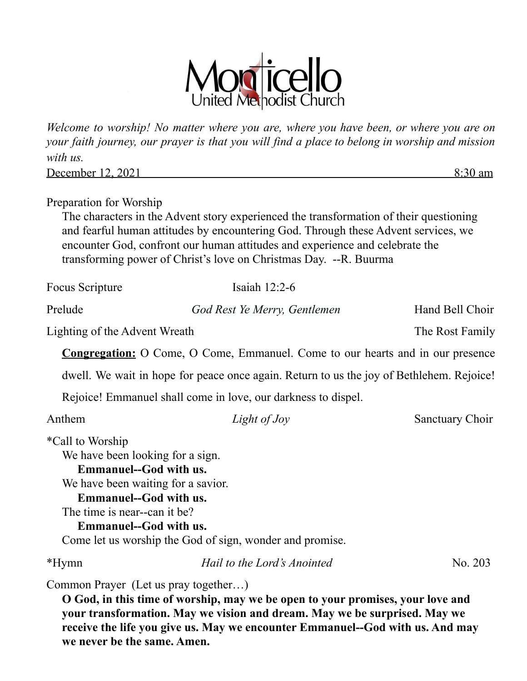

*Welcome to worship! No matter where you are, where you have been, or where you are on your faith journey, our prayer is that you will find a place to belong in worship and mission with us.*

December 12, 2021 8:30 am

Preparation for Worship

The characters in the Advent story experienced the transformation of their questioning and fearful human attitudes by encountering God. Through these Advent services, we encounter God, confront our human attitudes and experience and celebrate the transforming power of Christ's love on Christmas Day. --R. Buurma

| <b>Focus Scripture</b>                                                                       | Isaiah $12:2-6$                                                                          |                 |
|----------------------------------------------------------------------------------------------|------------------------------------------------------------------------------------------|-----------------|
| Prelude                                                                                      | God Rest Ye Merry, Gentlemen                                                             | Hand Bell Choir |
| Lighting of the Advent Wreath                                                                |                                                                                          | The Rost Family |
|                                                                                              | <b>Congregation:</b> O Come, O Come, Emmanuel. Come to our hearts and in our presence    |                 |
|                                                                                              | dwell. We wait in hope for peace once again. Return to us the joy of Bethlehem. Rejoice! |                 |
|                                                                                              | Rejoice! Emmanuel shall come in love, our darkness to dispel.                            |                 |
| Anthem                                                                                       | Light of Joy                                                                             | Sanctuary Choir |
| <i>*Call</i> to Worship<br>We have been looking for a sign.<br><b>Emmanuel--God with us.</b> |                                                                                          |                 |

We have been waiting for a savior.

**Emmanuel--God with us.**

The time is near--can it be?

**Emmanuel--God with us.** Come let us worship the God of sign, wonder and promise.

\*Hymn *Hail to the Lord's Anointed* No. 203

Common Prayer (Let us pray together…)

**O God, in this time of worship, may we be open to your promises, your love and your transformation. May we vision and dream. May we be surprised. May we receive the life you give us. May we encounter Emmanuel--God with us. And may we never be the same. Amen.**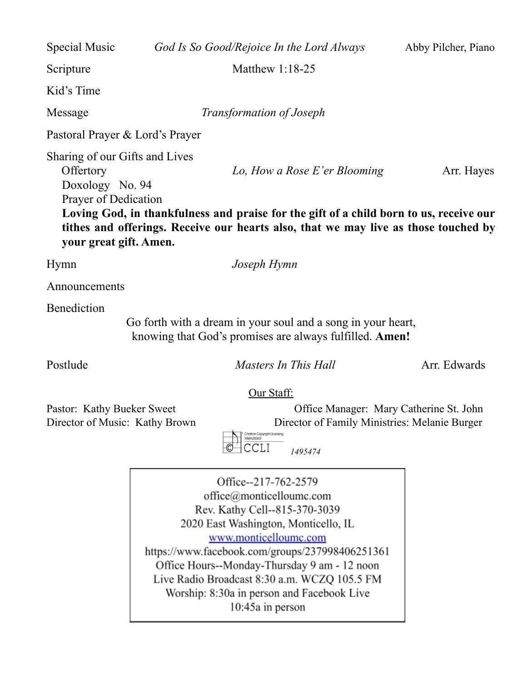Special Music *God Is So Good/Rejoice In the Lord Always* Abby Pilcher, Piano Scripture Matthew 1:18-25 Kid's Time Message *Transformation of Joseph* Pastoral Prayer & Lord's Prayer Sharing of our Gifts and Lives Offertory *Lo, How a Rose E'er Blooming* Arr. Hayes Doxology No. 94 Prayer of Dedication **Loving God, in thankfulness and praise for the gift of a child born to us, receive our tithes and offerings. Receive our hearts also, that we may live as those touched by your great gift. Amen.** Hymn *Joseph Hymn*

Announcements

**Benediction** 

Go forth with a dream in your soul and a song in your heart, knowing that God's promises are always fulfilled. **Amen!**

Postlude *Masters In This Hall* Arr. Edwards

## Our Staff:

Pastor: Kathy Bueker Sweet Office Manager: Mary Catherine St. John Director of Music: Kathy Brown Director of Family Ministries: Melanie Burger

*1495474*

Office--217-762-2579 office@monticelloumc.com Rev. Kathy Cell--815-370-3039 2020 East Washington, Monticello, IL www.monticelloumc.com https://www.facebook.com/groups/237998406251361 Office Hours--Monday-Thursday 9 am - 12 noon Live Radio Broadcast 8:30 a.m. WCZQ 105.5 FM Worship: 8:30a in person and Facebook Live 10:45a in person